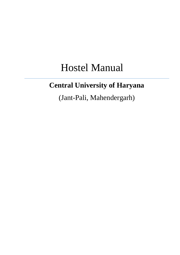# Hostel Manual

# **Central University of Haryana**

(Jant-Pali, Mahendergarh)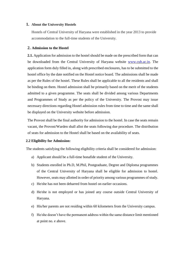#### **1. About the University Hostels**

Hostels of Central University of Haryana were established in the year 2013 to provide accommodation to the full-time students of the University.

## **2. Admission to the Hostel**

**2.1.** Application for admission to the hostel should be made on the prescribed form that can be downloaded from the Central University of Haryana website [www.cuh.ac.in.](http://www.cuh.ac.in/) The application form duly filled in, along with prescribed enclosures, has to be submitted to the hostel office by the date notified on the Hostel notice board. The admissions shall be made as per the Rules of the hostel. These Rules shall be applicable to all the residents and shall be binding on them. Hostel admission shall be primarily based on the merit of the students admitted to a given programme. The seats shall be divided among various Departments and Programmes of Study as per the policy of the University. The Provost may issue necessary directions regarding Hostel admission rules from time to time and the same shall be displayed on the University website before admission.

The Provost shall be the final authority for admission to the hostel. In case the seats remain vacant, the Provost/Warden shall allot the seats following due procedure. The distribution of seats for admission to the Hostel shall be based on the availability of seats.

#### **2.2 Eligibility for Admission:**

The students satisfying the following eligibility criteria shall be considered for admission:

- a) Applicant should be a full-time bonafide student of the University.
- b) Students enrolled in Ph.D, M.Phil, Postgraduate, Degree and Diploma programmes of the Central University of Haryana shall be eligible for admission to hostel. However, seats may allotted in order of priority among various programmes of study.
- c) He/she has not been debarred from hostel on earlier occasions.
- d) He/she is not employed or has joined any course outside Central University of Haryana.
- e) His/her parents are not residing within 60 kilometers from the University campus.
- f) He/she doesn't have the permanent address within the same distance limit mentioned at point no. e above.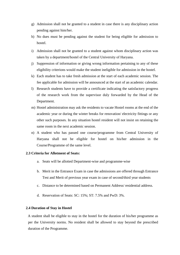- g) Admission shall not be granted to a student in case there is any disciplinary action pending against him/her.
- h) No dues must be pending against the student for being eligible for admission to hostel.
- i) Admission shall not be granted to a student against whom disciplinary action was taken by a department/hostel of the Central University of Haryana.
- j) Suppression of information or giving wrong information pertaining to any of these eligibility criterions would make the student ineligible for admission in the hostel.
- k) Each student has to take fresh admission at the start of each academic session. The fee applicable for admission will be announced at the start of an academic calendar.
- l) Research students have to provide a certificate indicating the satisfactory progress of the research work from the supervisor duly forwarded by the Head of the Department.
- m) Hostel administration may ask the residents to vacate Hostel rooms at the end of the academic year or during the winter breaks for renovation/ electricity fittings or any other such purposes. In any situation hostel resident will not insist on retaining the same room in the next academic session.
- n) A student who has passed one course/programme from Central University of Haryana shall not be eligible for hostel on his/her admission in the Course/Programme of the same level.

# **2.3 Criteria for Allotment of Seats:**

- a. Seats will be allotted Department-wise and programme-wise
- b. Merit in the Entrance Exam in case the admissions are offered through Entrance Test and Merit of previous year exam in case of second/third year students
- c. Distance to be determined based on Permanent Address/ residential address.
- d. Reservation of Seats: SC: 15%; ST: 7.5% and PwD: 3%.

# **2.4 Duration of Stay in Hostel**

A student shall be eligible to stay in the hostel for the duration of his/her programme as per the University norms. No resident shall be allowed to stay beyond the prescribed duration of the Programme.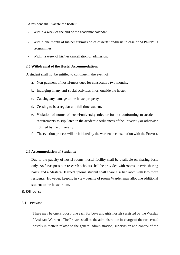A resident shall vacate the hostel:

- Within a week of the end of the academic calendar.
- Within one month of his/her submission of dissertation/thesis in case of M.Phil/Ph.D programmes
- Within a week of his/her cancellation of admission.

#### **2.5 Withdrawal of the Hostel Accommodation:**

A student shall not be entitled to continue in the event of:

- a. Non-payment of hostel/mess dues for consecutive two months.
- b. Indulging in any anti-social activities in or, outside the hostel.
- c. Causing any damage to the hostel property.
- d. Ceasing to be a regular and full time student.
- e. Violation of norms of hostel/university rules or for not conforming to academic requirements as stipulated in the academic ordinances of the university or otherwise notified by the university.
- f. The eviction process will be initiated by the warden in consultation with the Provost.

# **2.6 Accommodation of Students:**

Due to the paucity of hostel rooms, hostel facility shall be available on sharing basis only. As far as possible: research scholars shall be provided with rooms on twin sharing basis; and a Masters/Degree/Diploma student shall share his/ her room with two more residents. However, keeping in view paucity of rooms Warden may allot one additional student to the hostel room.

# **3. Officers:**

#### **3.1 Provost**

There may be one Provost (one each for boys and girls hostels) assisted by the Warden / Assistant Wardens. The Provost shall be the administration in-charge of the concerned hostels in matters related to the general administration, supervision and control of the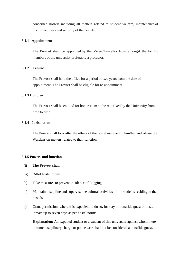concerned hostels including all matters related to student welfare, maintenance of discipline, mess and security of the hostels.

# **3.1.1 Appointment**

The Provost shall be appointed by the Vice-Chancellor from amongst the faculty members of the university preferably a professor.

# **3.1.2 Tenure**

The Provost shall hold the office for a period of two years from the date of appointment. The Provost shall be eligible for re-appointment.

# **3.1.3 Honorarium**

The Provost shall be entitled for honorarium at the rate fixed by the University from time to time.

# **3.1.4 Jurisdiction**

The Provost shall look after the affairs of the hostel assigned to him/her and advise the Wardens on matters related to their function.

# **3.1.5 Powers and functions**

- **(i) The Provost shall**:
- a) Allot hostel rooms,
- b) Take measures to prevent incidence of Ragging.
- c) Maintain discipline and supervise the cultural activities of the students residing in the hostels.
- d) Grant permission, where it is expedient to do so, for stay of bonafide guest of hostel inmate up to seven days as per hostel norms.

**Explanation:** An expelled student or a student of this university against whom there is some disciplinary charge or police case shall not be considered a bonafide guest.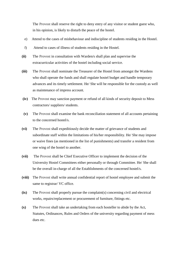The Provost shall reserve the right to deny entry of any visitor or student guest who, in his opinion, is likely to disturb the peace of the hostel.

- e) Attend to the cases of misbehaviour and indiscipline of students residing in the Hostel.
- f) Attend to cases of illness of students residing in the Hostel.
- **(ii)** The Provost in consultation with Warden/s shall plan and supervise the extracurricular activities of the hostel including social service.
- **(iii)** The Provost shall nominate the Treasurer of the Hostel from amongst the Wardens who shall operate the funds and shall regulate hostel budget and handle temporary advances and its timely settlement. He/ She will be responsible for the custody as well as maintenance of impress account.
- **(iv)** The Provost may sanction payment or refund of all kinds of security deposit to Mess contractors/ suppliers/ students.
- **(v)** The Provost shall examine the bank reconciliation statement of all accounts pertaining to the concerned hostel/s.
- **(vi)** The Provost shall expeditiously decide the matter of grievance of students and subordinate staff within the limitations of his/her responsibility. He/ She may impose or waive fines (as mentioned in the list of punishments) and transfer a resident from one wing of the hostel to another.
- **(vii)** The Provost shall be Chief Executive Officer to implement the decision of the University Hostel Committees either personally or through Committee. He/ She shall be the overall in-charge of all the Establishments of the concerned hostel/s.
- **(viii)** The Provost shall write annual confidential report of hostel employee and submit the same to registrar/ VC office.
- **(ix)** The Provost shall properly pursue the complaint(s) concerning civil and electrical works, repairs/replacement or procurement of furniture, fittings etc.
- **(x)** The Provost shall take an undertaking from each hosteller to abide by the Act, Statutes, Ordinances, Rules and Orders of the university regarding payment of mess dues etc.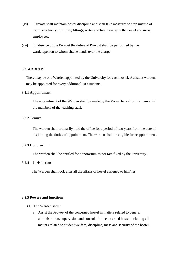- **(xi)** Provost shall maintain hostel discipline and shall take measures to stop misuse of room, electricity, furniture, fittings, water and treatment with the hostel and mess employees.
- **(xii)** In absence of the Provost the duties of Provost shall be performed by the warden/person to whom she/he hands over the charge.

## **3.2 WARDEN**

There may be one Warden appointed by the University for each hostel. Assistant wardens may be appointed for every additional 100 students.

#### **3.2.1 Appointment**

The appointment of the Warden shall be made by the Vice-Chancellor from amongst the members of the teaching staff.

# **3.2.2 Tenure**

The warden shall ordinarily hold the office for a period of two years from the date of his joining the duties of appointment. The warden shall be eligible for reappointment.

#### **3.2.3 Honorarium**

The warden shall be entitled for honorarium as per rate fixed by the university.

# **3.2.4 Jurisdiction**

The Warden shall look after all the affairs of hostel assigned to him/her

# **3.2.5 Powers and functions**

- (1) The Warden shall :
	- a) Assist the Provost of the concerned hostel in matters related to general administration, supervision and control of the concerned hostel including all matters related to student welfare, discipline, mess and security of the hostel.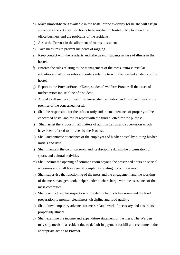- b) Make himself/herself available in the hostel office everyday (or he/she will assign somebody else) at specified hours to be notified in hostel office to attend the office business and the problems of the residents.
- c) Assist the Provost in the allotment of rooms to students.
- d) Take measures to prevent incidents of ragging
- e) Keep contact with the residents and take care of students in case of illness in the hostel.
- f) Enforce the rules relating to the management of the mess, extra-curricular activities and all other rules and orders relating to with the resident students of the hostel.
- g) Report to the Provost/Proctor/Dean, students' welfare/ Proctor all the cases of misbehavior/ indiscipline of a student.
- h) Attend to all matters of health, sickness, diet, sanitation and the cleanliness of the premise of the concerned hostel.
- i) Shall be responsible for the safe custody and the maintenance of property of the concerned hostel and for its repair with the fund allotted for the purpose.
- j) Shall assist the Provost in all matters of administration and supervision which have been referred to him/her by the Provost.
- k) Shall authenticate attendance of the employees of his/her hostel by putting his/her initials and date.
- l) Shall maintain the common room and its discipline during the organisation of sports and cultural activities
- m) Shall permit the opening of common room beyond the prescribed hours on special occasions and shall take care of complaints relating to common room.
- n) Shall supervise the functioning of the mess and the engagement and the working of the mess manager, cook, helper under his/her charge with the assistance of the mess committee.
- o) Shall conduct regular inspection of the dining hall, kitchen room and the food preparation to monitor cleanliness, discipline and food quality.
- p) Shall draw temporary advance for mess related work if necessary and ensure its proper adjustment.
- q) Shall examine the income and expenditure statement of the mess. The Warden may stop meals to a resident due to default in payment for bill and recommend the appropriate action to Provost.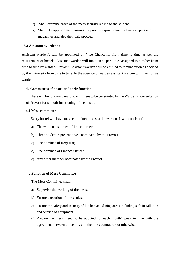- r) Shall examine cases of the mess security refund to the student
- s) Shall take appropriate measures for purchase /procurement of newspapers and magazines and also their sale proceed.

#### **3.3 Assistant Warden/s:**

Assistant warden/s will be appointed by Vice Chancellor from time to time as per the requirement of hostels. Assistant warden will function as per duties assigned to him/her from time to time by warden/ Provost. Assistant warden will be entitled to remuneration as decided by the university from time to time. In the absence of warden assistant warden will function as warden.

# 4. **Committees of hostel and their function**

 There will be following major committees to be constituted by the Warden in consultation of Provost for smooth functioning of the hostel:

#### **4.1 Mess committee**

Every hostel will have mess committee to assist the warden. It will consist of

- a) The warden, as the ex-officio chairperson
- b) Three student representatives nominated by the Provost
- c) One nominee of Registrar;
- d) One nominee of Finance Officer
- e) Any other member nominated by the Provost

#### 4.2 **Function of Mess Committee**

The Mess Committee shall;

- a) Supervise the working of the mess.
- b) Ensure execution of mess rules.
- c) Ensure the safety and security of kitchen and dining areas including safe installation and service of equipment.
- d) Prepare the mess menu to be adopted for each month/ week in tune with the agreement between university and the mess contractor, or otherwise.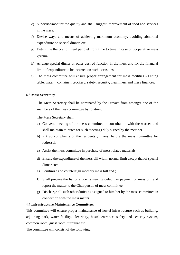- e) Supervise/monitor the quality and shall suggest improvement of food and services in the mess.
- f) Devise ways and means of achieving maximum economy, avoiding abnormal expenditure on special dinner, etc.
- g) Determine the cost of meal per diet from time to time in case of cooperative mess system.
- h) Arrange special dinner or other desired function in the mess and fix the financial limit of expenditure to be incurred on such occasions.
- i) The mess committee will ensure proper arrangement for mess facilities Dining table, water container, crockery, safety, security, cleanliness and mess finances.

#### **4.3 Mess Secretary**

The Mess Secretary shall be nominated by the Provost from amongst one of the members of the mess committee by rotation;

The Mess Secretary shall:

- a) Convene meeting of the mess committee in consultation with the warden and shall maintain minutes for such meetings duly signed by the member
- b) Put up complaints of the residents , if any, before the mess committee for redressal;
- c) Assist the mess committee in purchase of mess related materials;
- d) Ensure the expenditure of the mess bill within normal limit except that of special dinner etc;
- e) Scrutinize and countersign monthly mess bill and ;
- f) Shall prepare the list of students making default in payment of mess bill and report the matter to the Chairperson of mess committee.
- g) Discharge all such other duties as assigned to him/her by the mess committee in connection with the mess matter.

# **4.4 Infrastructure Maintenance Committee:**

This committee will ensure proper maintenance of hostel infrastructure such as building, adjoining park, water facility, electricity, hostel entrance, safety and security system, common room, guest room, furniture etc.

The committee will consist of the following: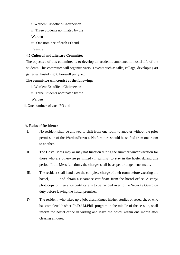i. Warden: Ex-officio Chairperson

ii. Three Students nominated by the

Warden

iii. One nominee of each FO and

Registrar

# **4.5 Cultural and Literary Committee:**

The objective of this committee is to develop an academic ambience in hostel life of the students. This committee will organize various events such as talks, collage, developing art galleries, hostel night, farewell party, etc.

# **The committee will consist of the following:**

- i. Warden: Ex-officio Chairperson
- ii. Three Students nominated by the

Warden

iii. One nominee of each FO and

# 5. **Rules of Residence**

- I. No resident shall be allowed to shift from one room to another without the prior permission of the Warden/Provost. No furniture should be shifted from one room to another.
- II. The Hostel Mess may or may not function during the summer/winter vacation for those who are otherwise permitted (in writing) to stay in the hostel during this period. If the Mess functions, the charges shall be as per arrangements made.
- III. The resident shall hand over the complete charge of their room before vacating the hostel, and obtain a clearance certificate from the hostel office. A copy/ photocopy of clearance certificate is to be handed over to the Security Guard on duty before leaving the hostel premises.
- IV. The resident, who takes up a job, discontinues his/her studies or research, or who has completed his/her Ph.D./ M.Phil program in the middle of the session, shall inform the hostel office in writing and leave the hostel within one month after clearing all dues.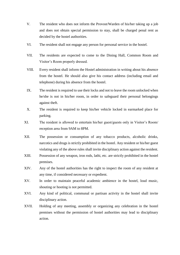- V. The resident who does not inform the Provost/Warden of his/her taking up a job and does not obtain special permission to stay, shall be charged penal rent as decided by the hostel authorities.
- VI. The resident shall not engage any person for personal service in the hostel.
- VII. The residents are expected to come to the Dining Hall, Common Room and Visitor's Room properly dressed.
- VIII. Every resident shall inform the Hostel administration in writing about his absence from the hostel. He should also give his contact address (including email and telephone) during his absence from the hostel.
- IX. The resident is required to use their locks and not to leave the room unlocked when he/she is not in his/her room, in order to safeguard their personal belongings against theft.
- X. The resident is required to keep his/her vehicle locked in earmarked place for parking.
- XI. The resident is allowed to entertain his/her guest/guests only in Visitor's Room/ reception area from 9AM to 8PM.
- XII. The possession or consumption of any tobacco products, alcoholic drinks, narcotics and drugs is strictly prohibited in the hostel. Any resident or his/her guest violating any of the above rules shall invite disciplinary action against the resident.
- XIII. Possession of any weapon, iron rods, lathi, etc. are strictly prohibited in the hostel premises.
- XIV. Any of the hostel authorities has the right to inspect the room of any resident at any time, if considered necessary or expedient.
- XV. In order to maintain peaceful academic ambience in the hostel, loud music, shouting or hooting is not permitted.
- XVI. Any kind of political, communal or partisan activity in the hostel shall invite disciplinary action.
- XVII. Holding of any meeting, assembly or organizing any celebration in the hostel premises without the permission of hostel authorities may lead to disciplinary action.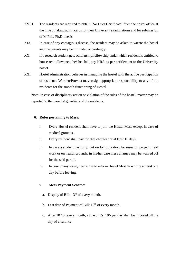- XVIII. The residents are required to obtain 'No Dues Certificate' from the hostel office at the time of taking admit cards for their University examinations and for submission of M.Phil/ Ph.D. thesis.
- XIX. In case of any contagious disease, the resident may be asked to vacate the hostel and the parents may be intimated accordingly.
- XX. If a research student gets scholarship/fellowship under which resident is entitled to house rent allowance, he/she shall pay HRA as per entitlement to the University hostel.
- XXI. Hostel administration believes in managing the hostel with the active participation of residents. Warden/Provost may assign appropriate responsibility to any of the residents for the smooth functioning of Hostel.

Note: In case of disciplinary action or violation of the rules of the hostel, matter may be reported to the parents/ guardians of the residents.

# **6. Rules pertaining to Mess:**

- i. Every Hostel resident shall have to join the Hostel Mess except in case of medical grounds.
- ii. Every resident shall pay the diet charges for at least 15 days.
- iii. In case a student has to go out on long duration for research project, field work or on health grounds, in his/her case mess charges may be waived off for the said period.
- iv. In case of any leave, he/she has to inform Hostel Mess in writing at least one day before leaving.

#### v. **Mess Payment Scheme:**

- a. Display of Bill:  $3<sup>rd</sup>$  of every month.
- b. Last date of Payment of Bill:  $10^{th}$  of every month.
- c. After  $10^{th}$  of every month, a fine of Rs.  $10/-$  per day shall be imposed till the day of clearance.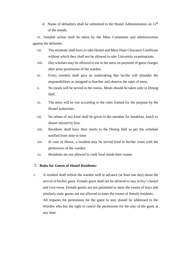d. Name of defaulters shall be submitted to the Hostel Administration on  $12<sup>th</sup>$ of the month.

vi. Suitable action shall be taken by the Mess Committee and administration against the defaulter.

- vii. The residents shall have to take Hostel and Mess Dues Clearance Certificate without which they shall not be allowed to take University examinations.
- viii. Day scholars may be allowed to eat in the mess on payment of guest charges after prior permission of the warden.
- ix. Every resident shall give an undertaking that he/she will shoulder the responsibilities as assigned to him/her and observe the rules of mess.
- x. No meals will be served in the rooms. Meals should be taken only in Dining Hall.
- xi. The mess will be run according to the rules framed for the purpose by the Hostel authorities.
- xii. No rebate of any kind shall be given to the member for breakfast, lunch or dinner missed by him.
- xiii. Residents shall have their meals in the Dining Hall as per the schedule notified from time to time.
- xiv. In case of illness, a resident may be served food in his/her room with the permission of the warden.
- xv. Residents are not allowed to cook food inside their rooms.

# **7. Rules for Guests of Hostel Residents:**

i. A resident shall inform the warden well in advance (at least one day) about the arrival of his/her guest. Female guest shall not be allowed to stay in boy's hostel and vice-versa. Female guests are not permitted to enter the rooms of boys and similarly male guests are not allowed to enter the rooms of female residents. All requests for permission for the guest to stay should be addressed to the Warden who has the right to cancel the permission for the stay of the guest at any time.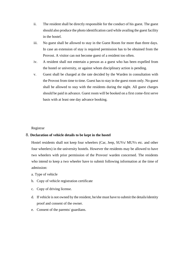- ii. The resident shall be directly responsible for the conduct of his guest. The guest should also produce the photo identification card while availing the guest facility in the hostel.
- iii. No guest shall be allowed to stay in the Guest Room for more than three days. In case an extension of stay is required permission has to be obtained from the Provost. A visitor can not become guest of a resident too often.
- iv. A resident shall not entertain a person as a guest who has been expelled from the hostel or university, or against whom disciplinary action is pending.
- v. Guest shall be charged at the rate decided by the Warden in consultation with the Provost from time to time. Guest has to stay in the guest room only. No guest shall be allowed to stay with the residents during the night. All guest charges should be paid in advance. Guest room will be booked on a first come-first serve basis with at least one day advance booking.

Registrar

# 8. **Declaration of vehicle details to be kept in the hostel**

Hostel residents shall not keep four wheelers (Car, Jeep, SUVs/ MUVs etc. and other four wheelers) in the university hostels. However the residents may be allowed to have two wheelers with prior permission of the Provost/ warden concerned. The residents who intend to keep a two wheeler have to submit following information at the time of admission:

- a. Type of vehicle
- b. Copy of vehicle registration certificate
- c. Copy of driving license.
- d. If vehicle is not owned by the resident, he/she must have to submit the details/identity proof and consent of the owner.
- e. Consent of the parents/ guardians.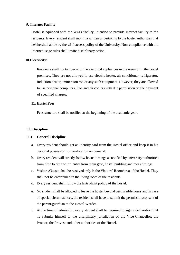# 9. **Internet Facility**

Hostel is equipped with the Wi-Fi facility, intended to provide Internet facility to the residents. Every resident shall submit a written undertaking to the hostel authorities that he/she shall abide by the wi-fi access policy of the University. Non-compliance with the Internet usage rules shall invite disciplinary action.

#### **10.Electricity:**

Residents shall not tamper with the electrical appliances in the room or in the hostel premises. They are not allowed to use electric heater, air conditioner, refrigerator, induction heater, immersion rod or any such equipment. However, they are allowed to use personal computers, Iron and air coolers with due permission on the payment of specified charges.

# **11. Hostel Fees**

Fees structure shall be notified at the beginning of the academic year**.** 

# **11. Discipline**

#### **11.1 General Discipline**

- a. Every resident should get an identity card from the Hostel office and keep it in his personal possession for verification on demand.
- b. Every resident will strictly follow hostel timings as notified by university authorities from time to time w. r.t. entry from main gate, hostel building and mess timings.
- c. Visitors/Guests shall be received only in the Visitors' Room/area of the Hostel. They shall not be entertained in the living room of the residents.
- d. Every resident shall follow the Entry/Exit policy of the hostel.
- e. No student shall be allowed to leave the hostel beyond permissible hours and in case of special circumstances, the resident shall have to submit the permission/consent of the parent/guardian to the Hostel Warden.
- f. At the time of admission, every student shall be required to sign a declaration that he submits himself to the disciplinary jurisdiction of the Vice-Chancellor, the Proctor, the Provost and other authorities of the Hostel.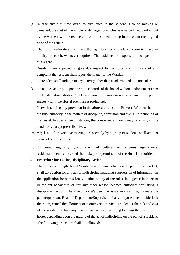- g. In case any furniture/fixture issued/allotted to the student is found missing or damaged, the cost of the article or damages to articles as may be fixed/worked out by the warden, will be recovered from the student taking into account the original price of the article.
- h. The hostel authorities shall have the right to enter a resident's room to make an inquiry or search, whenever required. The residents are expected to co-operate in this regard.
- i. Residents are expected to give due respect to the hostel staff. In case of any complaint the resident shall report the matter to the Warden.
- j. No resident shall indulge in any activity other than academic and co-curricular.
- k. No notice can be put upon the notice boards of the hostel without endorsement from the Hostel administration. Sticking of any bill, poster or notice on any of the public spaces within the Hostel premises is prohibited.
- l. Notwithstanding any provision in the aforesaid rules, the Provost/ Warden shall be the final authority in the matters of discipline, admission and over all functioning of the hostel. In special circumstances, the competent authority may relax any of the conditions except prescribed fees.
- m. Any kind of provocative meeting or assembly by a group of students shall amount to an act of indiscipline**.**
- n. For organizing any group event of cultural or religious significance, resident/residents concerned shall take prior permission of the Hostel authorities.

# **11.2 Procedure for Taking Disciplinary Action**

The Provost (through Hostel Warden) can for any default on the part of the resident, shall take action for any act of indiscipline including suppression of information in the application for admission, violation of any of the rules, indulgence in indecent or violent behaviour, or for any other reason deemed sufficient for taking a disciplinary action. The Provost or Warden may issue any warning, intimate the parent/guardian, Head of Department/Supervisor, if any, impose fine, double lock the room, cancel the allotment of room/expel or evict a resident at the risk and cost of the resident or take any disciplinary action, including banning the entry to the hostel depending upon the gravity of the act of indiscipline on the part of a resident. The following procedure shall be followed: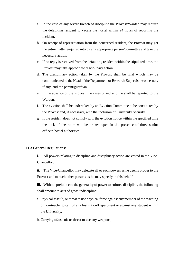- a. In the case of any severe breach of discipline the Provost/Warden may require the defaulting resident to vacate the hostel within 24 hours of reporting the incident.
- b. On receipt of representation from the concerned resident, the Provost may get the entire matter enquired into by any appropriate person/committee and take the necessary action.
- c. If no reply is received from the defaulting resident within the stipulated time, the Provost may take appropriate disciplinary action.
- d. The disciplinary action taken by the Provost shall be final which may be communicated to the Head of the Department or Research Supervisor concerned, if any, and the parent/guardian.
- e. In the absence of the Provost, the cases of indiscipline shall be reported to the Warden.
- f. The eviction shall be undertaken by an Eviction Committee to be constituted by the Provost and, if necessary, with the inclusion of University Security.
- g. If the resident does not comply with the eviction notice within the specified time the lock of the room will be broken open in the presence of three senior officers/hostel authorities.

## **11.3 General Regulations:**

**i.** All powers relating to discipline and disciplinary action are vested in the Vice-Chancellor.

**ii.** The Vice-Chancellor may delegate all or such powers as he deems proper to the Provost and to such other persons as he may specify in this behalf.

**iii.** Without prejudice to the generality of power to enforce discipline, the following shall amount to acts of gross indiscipline:

- a. Physical assault, or threat to use physical force against any member of the teaching or non-teaching staff of any Institution/Department or against any student within the University.
- b. Carrying of/use of/ or threat to use any weapons;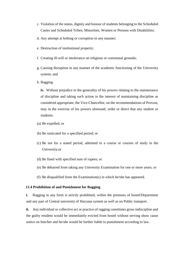- c. Violation of the status, dignity and honour of students belonging to the Scheduled Castes and Scheduled Tribes, Minorities, Women or Persons with Disabilities;
- d. Any attempt at bribing or corruption in any manner;
- e. Destruction of institutional property;
- f. Creating ill-will or intolerance on religious or communal grounds;
- g. Causing disruption in any manner of the academic functioning of the University system; and
- h. Ragging

**iv.** Without prejudice to the generality of his powers relating to the maintenance of discipline and taking such action in the interest of maintaining discipline as considered appropriate, the Vice-Chancellor, on the recommendations of Provost, may in the exercise of his powers aforesaid, order or direct that any student or students:

- (a) Be expelled; or
- (b) Be rusticated for a specified period; or
- (c) Be not for a stated period, admitted to a course or courses of study in the University;or
- (d) Be fined with specified sum of rupees; or
- (e) Be debarred from taking any University Examination for one or more years; or
- (f) Be disqualified from the Examination(s) in which he/she has appeared.

#### **11.4 Prohibition of and Punishment for Ragging**

**i.** Ragging in any form is strictly prohibited, within the premises of hostel/Department and any part of Central university of Haryana system as well as on Public transport.

**ii.** Any individual or collective act or practice of ragging constitutes gross indiscipline and the guilty resident would be immediately evicted from hostel without serving show cause notice on him/her and he/she would be further liable to punishment according to law.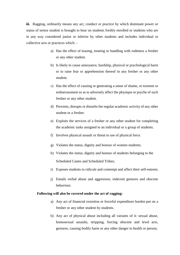**iii.** Ragging, ordinarily means any act, conduct or practice by which dominant power or status of senior student is brought to bear on students freshly enrolled or students who are in any way considered junior or inferior by other students and includes individual or collective acts or practices which—

- a) Has the effect of teasing, treating or handling with rudeness a fresher or any other student.
- b) Is likely to cause annoyance, hardship, physical or psychological harm or to raise fear or apprehension thereof in any fresher or any other student.
- c) Has the effect of causing or generating a sense of shame, or torment or embarrassment so as to adversely affect the physique or psyche of such fresher or any other student.
- d) Prevents, disrupts or disturbs the regular academic activity of any other student or a fresher.
- e) Exploits the services of a fresher or any other student for completing the academic tasks assigned to an individual or a group of students.
- f) Involves physical assault or threat to use of physical force.
- g) Violates the status, dignity and honour of women students;
- h) Violates the status, dignity and honour of students belonging to the Scheduled Castes and Scheduled Tribes;
- i) Exposes students to ridicule and contempt and affect their self-esteem;
- j) Entails verbal abuse and aggression, indecent gestures and obscene behaviour.

# **Following will also be covered under the act of ragging:**

- a) Any act of financial extortion or forceful expenditure burden put on a fresher or any other student by students.
- b) Any act of physical abuse including all variants of it: sexual abuse, homosexual assaults, stripping, forcing obscene and lewd acts, gestures, causing bodily harm or any other danger to health or person;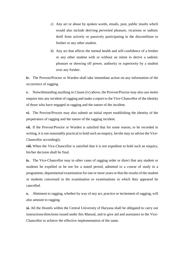- c) Any act or abuse by spoken words, emails, post, public insults which would also include deriving perverted pleasure, vicarious or sadistic thrill from actively or passively participating in the discomfiture to fresher or any other student.
- d) Any act that affects the mental health and self-confidence of a fresher or any other student with or without an intent to derive a sadistic pleasure or showing off power, authority or superiority by a student over any fresher.

**iv.** The Provost/Proctor or Warden shall take immediate action on any information of the occurrence of ragging.

**v.** Notwithstanding anything in Clause (iv) above, the Provost/Proctor may also *suo motto* enquire into any incident of ragging and make a report to the Vice-Chancellor of the identity of those who have engaged in ragging and the nature of the incident.

**vi.** The Provost/Proctor may also submit an initial report establishing the identity of the perpetrators of ragging and the nature of the ragging incident.

**vii.** If the Provost/Proctor or Warden is satisfied that for some reason, to be recorded in writing, it is not reasonably practical to hold such an enquiry, he/she may so advise the Vice-Chancellor accordingly.

**viii.** When the Vice-Chancellor is satisfied that it is not expedient to hold such an enquiry, his/her decision shall be final.

**ix.** The Vice-Chancellor may in other cases of ragging order or direct that any student or students be expelled or be not for a stated period, admitted to a course of study in a programme, departmental examination for one or more years or that the results of the student or students concerned in the examination or examinations in which they appeared be cancelled.

**x.** Abetment to ragging, whether by way of any act, practice or incitement of ragging, will also amount to ragging.

**xi.** All the Hostels within the Central University of Haryana shall be obligated to carry out instructions/directions issued under this Manual, and to give aid and assistance to the Vice-Chancellor to achieve the effective implementation of the same.